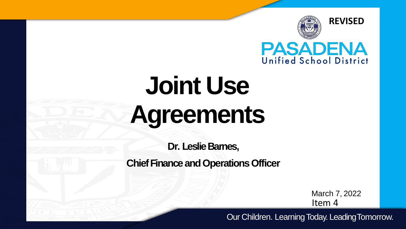

# **Joint Use Agreements**

**Dr. Leslie Barnes,** 

**Chief Finance and Operations Officer** 

March 7, 2022 Item 4

Our Children. Learning Today. LeadingTomorrow.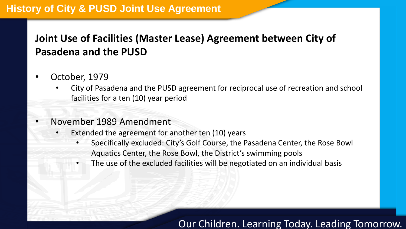## **Joint Use of Facilities (Master Lease) Agreement between City of Pasadena and the PUSD**

- October, 1979
	- City of Pasadena and the PUSD agreement for reciprocal use of recreation and school facilities for a ten (10) year period
- November 1989 Amendment
	- Extended the agreement for another ten (10) years
		- Specifically excluded: City's Golf Course, the Pasadena Center, the Rose Bowl Aquatics Center, the Rose Bowl, the District's swimming pools
		- The use of the excluded facilities will be negotiated on an individual basis

#### Our Children. Learning Today. Leading Tomorrow.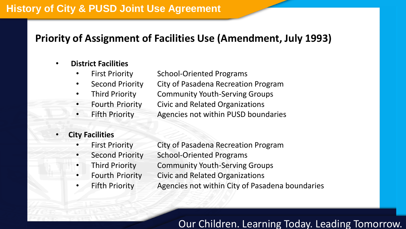#### **Priority of Assignment of Facilities Use (Amendment, July 1993)**

#### • **District Facilities**

- First Priority School-Oriented Programs
- Second Priority City of Pasadena Recreation Program
- Third Priority Community Youth-Serving Groups
- - Fourth Priority Civic and Related Organizations
- Fifth Priority **Agencies not within PUSD boundaries**

#### • **City Facilities**

- First Priority City of Pasadena Recreation Program
- Second Priority School-Oriented Programs
- Third Priority Community Youth-Serving Groups
	- Fourth Priority Civic and Related Organizations
- 
- 
- Fifth Priority **Agencies not within City of Pasadena boundaries**

#### Our Children. Learning Today. Leading Tomorrow.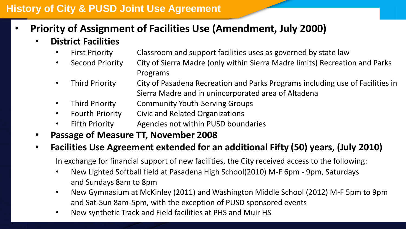- **Priority of Assignment of Facilities Use (Amendment, July 2000)**
	- **District Facilities**
		- **Uistrict Facilities**<br>• First Priority Classroom and support facilities uses as governed by state law
		- Second Priority City of Sierra Madre (only within Sierra Madre limits) Recreation and Parks Programs
		- Third Priority City of Pasadena Recreation and Parks Programs including use of Facilities in Sierra Madre and in unincorporated area of Altadena
		- Third Priority Community Youth-Serving Groups
		- Fourth Priority Civic and Related Organizations
		- Fifth Priority Agencies not within PUSD boundaries
	- **Passage of Measure TT, November 2008**

#### • **Facilities Use Agreement extended for an additional Fifty (50) years, (July 2010)**

In exchange for financial support of new facilities, the City received access to the following:

- New Lighted Softball field at Pasadena High School(2010) M-F 6pm 9pm, Saturdays and Sundays 8am to 8pm
- New Gymnasium at McKinley (2011) and Washington Middle School (2012) M-F 5pm to 9pm and Sat-Sun 8am-5pm, with the exception of PUSD sponsored events
- New synthetic Track and Field facilities at PHS and Muir HS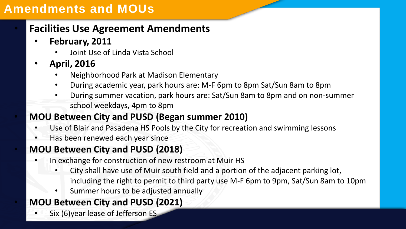## **Amendments and MOUs**

## • **Facilities Use Agreement Amendments**

- **February, 2011**
	- Joint Use of Linda Vista School
- **April, 2016**
	- Neighborhood Park at Madison Elementary
	- During academic year, park hours are: M-F 6pm to 8pm Sat/Sun 8am to 8pm
	- During summer vacation, park hours are: Sat/Sun 8am to 8pm and on non-summer school weekdays, 4pm to 8pm

#### • **MOU Between City and PUSD (Began summer 2010)**

- Use of Blair and Pasadena HS Pools by the City for recreation and swimming lessons
- Has been renewed each year since

## • **MOU Between City and PUSD (2018)**

- In exchange for construction of new restroom at Muir HS
	- City shall have use of Muir south field and a portion of the adjacent parking lot, including the right to permit to third party use M-F 6pm to 9pm, Sat/Sun 8am to 10pm
	- Summer hours to be adjusted annually

## • **MOU Between City and PUSD (2021)**

Six (6) year lease of Jefferson ES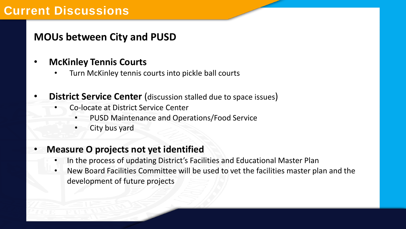## **Current Discussions**

#### **MOUs between City and PUSD**

- **McKinley Tennis Courts**
	- Turn McKinley tennis courts into pickle ball courts
- **District Service Center** (discussion stalled due to space issues)
	- Co-locate at District Service Center
		- PUSD Maintenance and Operations/Food Service
		- City bus yard

#### • **Measure O projects not yet identified**

- In the process of updating District's Facilities and Educational Master Plan
- New Board Facilities Committee will be used to vet the facilities master plan and the development of future projects